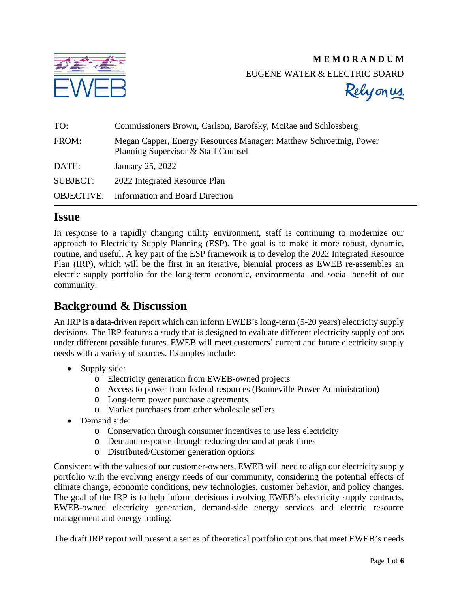

**M E M O R A N D U M** EUGENE WATER & ELECTRIC BOARD

Relyonus.

| Commissioners Brown, Carlson, Barofsky, McRae and Schlossberg                                             |
|-----------------------------------------------------------------------------------------------------------|
| Megan Capper, Energy Resources Manager; Matthew Schroettnig, Power<br>Planning Supervisor & Staff Counsel |
| January 25, 2022                                                                                          |
| 2022 Integrated Resource Plan                                                                             |
| Information and Board Direction                                                                           |
|                                                                                                           |

# **Issue**

In response to a rapidly changing utility environment, staff is continuing to modernize our approach to Electricity Supply Planning (ESP). The goal is to make it more robust, dynamic, routine, and useful. A key part of the ESP framework is to develop the 2022 Integrated Resource Plan (IRP), which will be the first in an iterative, biennial process as EWEB re-assembles an electric supply portfolio for the long-term economic, environmental and social benefit of our community.

# **Background & Discussion**

An IRP is a data-driven report which can inform EWEB's long-term (5-20 years) electricity supply decisions. The IRP features a study that is designed to evaluate different electricity supply options under different possible futures. EWEB will meet customers' current and future electricity supply needs with a variety of sources. Examples include:

- Supply side:
	- o Electricity generation from EWEB-owned projects
	- o Access to power from federal resources (Bonneville Power Administration)
	- o Long-term power purchase agreements
	- o Market purchases from other wholesale sellers
- Demand side:
	- o Conservation through consumer incentives to use less electricity
	- o Demand response through reducing demand at peak times
	- o Distributed/Customer generation options

Consistent with the values of our customer-owners, EWEB will need to align our electricity supply portfolio with the evolving energy needs of our community, considering the potential effects of climate change, economic conditions, new technologies, customer behavior, and policy changes. The goal of the IRP is to help inform decisions involving EWEB's electricity supply contracts, EWEB-owned electricity generation, demand-side energy services and electric resource management and energy trading.

The draft IRP report will present a series of theoretical portfolio options that meet EWEB's needs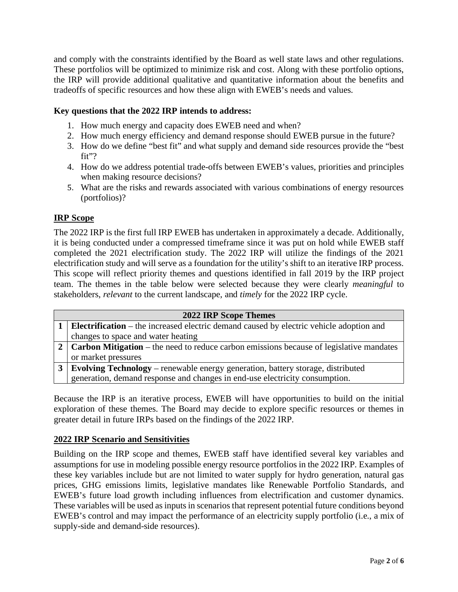and comply with the constraints identified by the Board as well state laws and other regulations. These portfolios will be optimized to minimize risk and cost. Along with these portfolio options, the IRP will provide additional qualitative and quantitative information about the benefits and tradeoffs of specific resources and how these align with EWEB's needs and values.

## **Key questions that the 2022 IRP intends to address:**

- 1. How much energy and capacity does EWEB need and when?
- 2. How much energy efficiency and demand response should EWEB pursue in the future?
- 3. How do we define "best fit" and what supply and demand side resources provide the "best fit"?
- 4. How do we address potential trade-offs between EWEB's values, priorities and principles when making resource decisions?
- 5. What are the risks and rewards associated with various combinations of energy resources (portfolios)?

## **IRP Scope**

The 2022 IRP is the first full IRP EWEB has undertaken in approximately a decade. Additionally, it is being conducted under a compressed timeframe since it was put on hold while EWEB staff completed the 2021 electrification study. The 2022 IRP will utilize the findings of the 2021 electrification study and will serve as a foundation for the utility's shift to an iterative IRP process. This scope will reflect priority themes and questions identified in fall 2019 by the IRP project team. The themes in the table below were selected because they were clearly *meaningful* to stakeholders, *relevant* to the current landscape, and *timely* for the 2022 IRP cycle.

| 2022 IRP Scope Themes                                                                          |  |  |  |  |  |
|------------------------------------------------------------------------------------------------|--|--|--|--|--|
|                                                                                                |  |  |  |  |  |
| <b>Electrification</b> – the increased electric demand caused by electric vehicle adoption and |  |  |  |  |  |
|                                                                                                |  |  |  |  |  |
| changes to space and water heating                                                             |  |  |  |  |  |
| $2$   Carbon Mitigation – the need to reduce carbon emissions because of legislative mandates  |  |  |  |  |  |
|                                                                                                |  |  |  |  |  |
| or market pressures                                                                            |  |  |  |  |  |
|                                                                                                |  |  |  |  |  |
| <b>Evolving Technology</b> – renewable energy generation, battery storage, distributed         |  |  |  |  |  |
| generation, demand response and changes in end-use electricity consumption.                    |  |  |  |  |  |
|                                                                                                |  |  |  |  |  |

Because the IRP is an iterative process, EWEB will have opportunities to build on the initial exploration of these themes. The Board may decide to explore specific resources or themes in greater detail in future IRPs based on the findings of the 2022 IRP.

#### **2022 IRP Scenario and Sensitivities**

Building on the IRP scope and themes, EWEB staff have identified several key variables and assumptions for use in modeling possible energy resource portfolios in the 2022 IRP. Examples of these key variables include but are not limited to water supply for hydro generation, natural gas prices, GHG emissions limits, legislative mandates like Renewable Portfolio Standards, and EWEB's future load growth including influences from electrification and customer dynamics. These variables will be used as inputs in scenarios that represent potential future conditions beyond EWEB's control and may impact the performance of an electricity supply portfolio (i.e., a mix of supply-side and demand-side resources).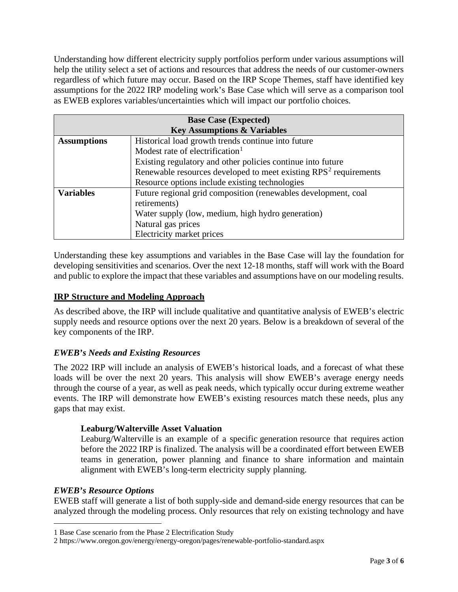Understanding how different electricity supply portfolios perform under various assumptions will help the utility select a set of actions and resources that address the needs of our customer-owners regardless of which future may occur. Based on the IRP Scope Themes, staff have identified key assumptions for the 2022 IRP modeling work's Base Case which will serve as a comparison tool as EWEB explores variables/uncertainties which will impact our portfolio choices.

| <b>Base Case (Expected)</b>                                                        |                                                                              |  |  |  |  |  |
|------------------------------------------------------------------------------------|------------------------------------------------------------------------------|--|--|--|--|--|
| <b>Key Assumptions &amp; Variables</b>                                             |                                                                              |  |  |  |  |  |
| Historical load growth trends continue into future<br><b>Assumptions</b>           |                                                                              |  |  |  |  |  |
| Modest rate of electrification <sup>1</sup>                                        |                                                                              |  |  |  |  |  |
|                                                                                    | Existing regulatory and other policies continue into future                  |  |  |  |  |  |
|                                                                                    | Renewable resources developed to meet existing RPS <sup>2</sup> requirements |  |  |  |  |  |
|                                                                                    | Resource options include existing technologies                               |  |  |  |  |  |
| Future regional grid composition (renewables development, coal<br><b>Variables</b> |                                                                              |  |  |  |  |  |
| retirements)                                                                       |                                                                              |  |  |  |  |  |
| Water supply (low, medium, high hydro generation)                                  |                                                                              |  |  |  |  |  |
|                                                                                    | Natural gas prices                                                           |  |  |  |  |  |
|                                                                                    | Electricity market prices                                                    |  |  |  |  |  |

Understanding these key assumptions and variables in the Base Case will lay the foundation for developing sensitivities and scenarios. Over the next 12-18 months, staff will work with the Board and public to explore the impact that these variables and assumptions have on our modeling results.

# **IRP Structure and Modeling Approach**

As described above, the IRP will include qualitative and quantitative analysis of EWEB's electric supply needs and resource options over the next 20 years. Below is a breakdown of several of the key components of the IRP.

# *EWEB's Needs and Existing Resources*

The 2022 IRP will include an analysis of EWEB's historical loads, and a forecast of what these loads will be over the next 20 years. This analysis will show EWEB's average energy needs through the course of a year, as well as peak needs, which typically occur during extreme weather events. The IRP will demonstrate how EWEB's existing resources match these needs, plus any gaps that may exist.

#### **Leaburg/Walterville Asset Valuation**

Leaburg/Walterville is an example of a specific generation resource that requires action before the 2022 IRP is finalized. The analysis will be a coordinated effort between EWEB teams in generation, power planning and finance to share information and maintain alignment with EWEB's long-term electricity supply planning.

#### *EWEB's Resource Options*

EWEB staff will generate a list of both supply-side and demand-side energy resources that can be analyzed through the modeling process. Only resources that rely on existing technology and have

<span id="page-2-0"></span><sup>1</sup> Base Case scenario from the Phase 2 Electrification Study

<span id="page-2-1"></span><sup>2</sup> https://www.oregon.gov/energy/energy-oregon/pages/renewable-portfolio-standard.aspx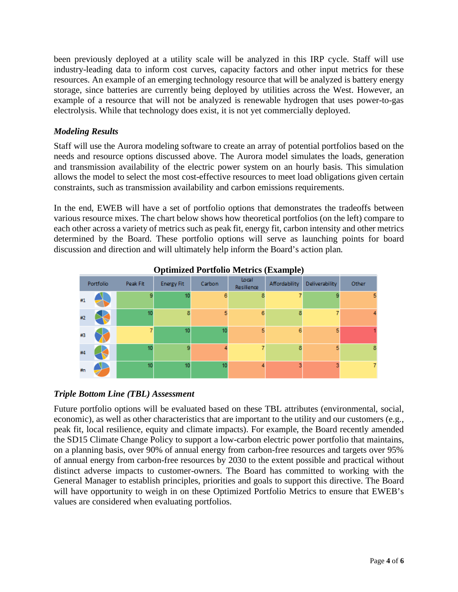been previously deployed at a utility scale will be analyzed in this IRP cycle. Staff will use industry-leading data to inform cost curves, capacity factors and other input metrics for these resources. An example of an emerging technology resource that will be analyzed is battery energy storage, since batteries are currently being deployed by utilities across the West. However, an example of a resource that will not be analyzed is renewable hydrogen that uses power-to-gas electrolysis. While that technology does exist, it is not yet commercially deployed.

# *Modeling Results*

Staff will use the Aurora modeling software to create an array of potential portfolios based on the needs and resource options discussed above. The Aurora model simulates the loads, generation and transmission availability of the electric power system on an hourly basis. This simulation allows the model to select the most cost-effective resources to meet load obligations given certain constraints, such as transmission availability and carbon emissions requirements.

In the end, EWEB will have a set of portfolio options that demonstrates the tradeoffs between various resource mixes. The chart below shows how theoretical portfolios (on the left) compare to each other across a variety of metrics such as peak fit, energy fit, carbon intensity and other metrics determined by the Board. These portfolio options will serve as launching points for board discussion and direction and will ultimately help inform the Board's action plan.

|    | $\sim$ $\sim$ $\sim$ $\sim$ $\sim$<br>$\frac{1}{2}$ |                 |                   |        |                     |               |                       |       |
|----|-----------------------------------------------------|-----------------|-------------------|--------|---------------------|---------------|-----------------------|-------|
|    | Portfolio                                           | Peak Fit        | <b>Energy Fit</b> | Carbon | local<br>Resilience | Affordability | <b>Deliverability</b> | Other |
| #1 |                                                     | 9               | 10                | 6      | 8                   |               | 9                     | 5     |
| #2 |                                                     | 10              | 8                 | 5      | $6\phantom{1}$      | 8             |                       |       |
| #3 |                                                     | 7               | 10                | 10     | 5                   | 6             | 5                     |       |
| #4 |                                                     | 10              | 9                 |        | 7                   | 8             | 5                     | 8     |
| #n |                                                     | 10 <sub>1</sub> | 10                | 10     | 4                   | ٩             | ٩                     | 7.    |

**Optimized Portfolio Metrics (Example)**

#### *Triple Bottom Line (TBL) Assessment*

Future portfolio options will be evaluated based on these TBL attributes (environmental, social, economic), as well as other characteristics that are important to the utility and our customers (e.g., peak fit, local resilience, equity and climate impacts). For example, the Board recently amended the SD15 Climate Change Policy to support a low-carbon electric power portfolio that maintains, on a planning basis, over 90% of annual energy from carbon-free resources and targets over 95% of annual energy from carbon-free resources by 2030 to the extent possible and practical without distinct adverse impacts to customer-owners. The Board has committed to working with the General Manager to establish principles, priorities and goals to support this directive. The Board will have opportunity to weigh in on these Optimized Portfolio Metrics to ensure that EWEB's values are considered when evaluating portfolios.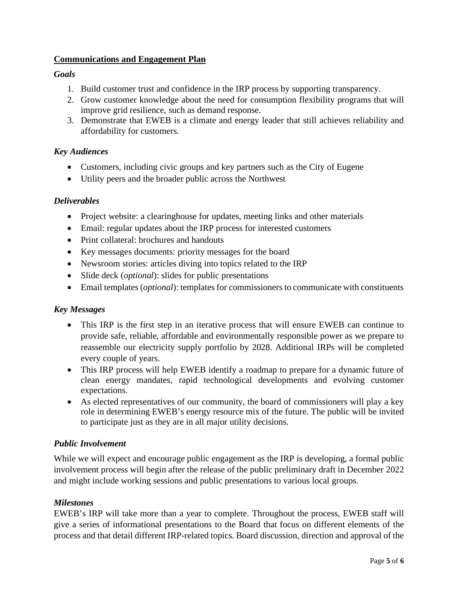# **Communications and Engagement Plan**

# *Goals*

- 1. Build customer trust and confidence in the IRP process by supporting transparency.
- 2. Grow customer knowledge about the need for consumption flexibility programs that will improve grid resilience, such as demand response.
- 3. Demonstrate that EWEB is a climate and energy leader that still achieves reliability and affordability for customers.

## *Key Audiences*

- Customers, including civic groups and key partners such as the City of Eugene
- Utility peers and the broader public across the Northwest

## *Deliverables*

- Project website: a clearinghouse for updates, meeting links and other materials
- Email: regular updates about the IRP process for interested customers
- Print collateral: brochures and handouts
- Key messages documents: priority messages for the board
- Newsroom stories: articles diving into topics related to the IRP
- Slide deck (*optional*): slides for public presentations
- Email templates (*optional*): templates for commissioners to communicate with constituents

#### *Key Messages*

- This IRP is the first step in an iterative process that will ensure EWEB can continue to provide safe, reliable, affordable and environmentally responsible power as we prepare to reassemble our electricity supply portfolio by 2028. Additional IRPs will be completed every couple of years.
- This IRP process will help EWEB identify a roadmap to prepare for a dynamic future of clean energy mandates, rapid technological developments and evolving customer expectations.
- As elected representatives of our community, the board of commissioners will play a key role in determining EWEB's energy resource mix of the future. The public will be invited to participate just as they are in all major utility decisions.

#### *Public Involvement*

While we will expect and encourage public engagement as the IRP is developing, a formal public involvement process will begin after the release of the public preliminary draft in December 2022 and might include working sessions and public presentations to various local groups.

#### *Milestones*

EWEB's IRP will take more than a year to complete. Throughout the process, EWEB staff will give a series of informational presentations to the Board that focus on different elements of the process and that detail different IRP-related topics. Board discussion, direction and approval of the